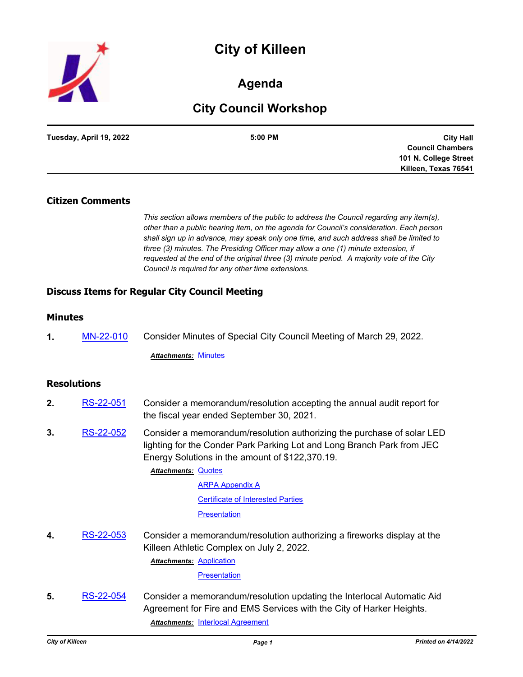# **City of Killeen**



## **Agenda**

## **City Council Workshop**

| Tuesday, April 19, 2022 | 5:00 PM | <b>City Hall</b>        |
|-------------------------|---------|-------------------------|
|                         |         | <b>Council Chambers</b> |
|                         |         | 101 N. College Street   |
|                         |         | Killeen, Texas 76541    |

## **Citizen Comments**

*This section allows members of the public to address the Council regarding any item(s), other than a public hearing item, on the agenda for Council's consideration. Each person shall sign up in advance, may speak only one time, and such address shall be limited to three (3) minutes. The Presiding Officer may allow a one (1) minute extension, if requested at the end of the original three (3) minute period. A majority vote of the City Council is required for any other time extensions.*

## **Discuss Items for Regular City Council Meeting**

## **Minutes**

**1.** [MN-22-010](http://killeen.legistar.com/gateway.aspx?m=l&id=/matter.aspx?key=6082) Consider Minutes of Special City Council Meeting of March 29, 2022.

*Attachments:* [Minutes](http://killeen.legistar.com/gateway.aspx?M=F&ID=ff6d0fcd-8e19-46ca-94e5-e2b26712aecf.pdf)

### **Resolutions**

- **2.** [RS-22-051](http://killeen.legistar.com/gateway.aspx?m=l&id=/matter.aspx?key=6057) Consider a memorandum/resolution accepting the annual audit report for the fiscal year ended September 30, 2021.
- **3.** [RS-22-052](http://killeen.legistar.com/gateway.aspx?m=l&id=/matter.aspx?key=5997) Consider a memorandum/resolution authorizing the purchase of solar LED lighting for the Conder Park Parking Lot and Long Branch Park from JEC Energy Solutions in the amount of \$122,370.19.

#### **Attachments: [Quotes](http://killeen.legistar.com/gateway.aspx?M=F&ID=de4381a0-b902-4764-9f9f-d56f68a56364.pdf)**

[ARPA Appendix A](http://killeen.legistar.com/gateway.aspx?M=F&ID=f4e68910-07a9-4ecf-baa9-5364d775973c.pdf)

[Certificate of Interested Parties](http://killeen.legistar.com/gateway.aspx?M=F&ID=0a51a7f9-e190-49b5-a3a2-c5bcbd2a330f.pdf)

**[Presentation](http://killeen.legistar.com/gateway.aspx?M=F&ID=9d573161-c6ab-4365-9f73-423814b82d12.pdf)** 

**4.** [RS-22-053](http://killeen.legistar.com/gateway.aspx?m=l&id=/matter.aspx?key=6034) Consider a memorandum/resolution authorizing a fireworks display at the Killeen Athletic Complex on July 2, 2022. **Attachments: [Application](http://killeen.legistar.com/gateway.aspx?M=F&ID=f02e6d0a-bcc4-464d-972e-4dc1afd3ff11.pdf)** 

**[Presentation](http://killeen.legistar.com/gateway.aspx?M=F&ID=bca9a767-ffa5-4643-91d2-1ba7cfcddfc9.pdf)** 

**5.** [RS-22-054](http://killeen.legistar.com/gateway.aspx?m=l&id=/matter.aspx?key=6047) Consider a memorandum/resolution updating the Interlocal Automatic Aid Agreement for Fire and EMS Services with the City of Harker Heights. *Attachments:* [Interlocal Agreement](http://killeen.legistar.com/gateway.aspx?M=F&ID=6fac347d-fa9b-431b-b3c3-b40033870a3a.pdf)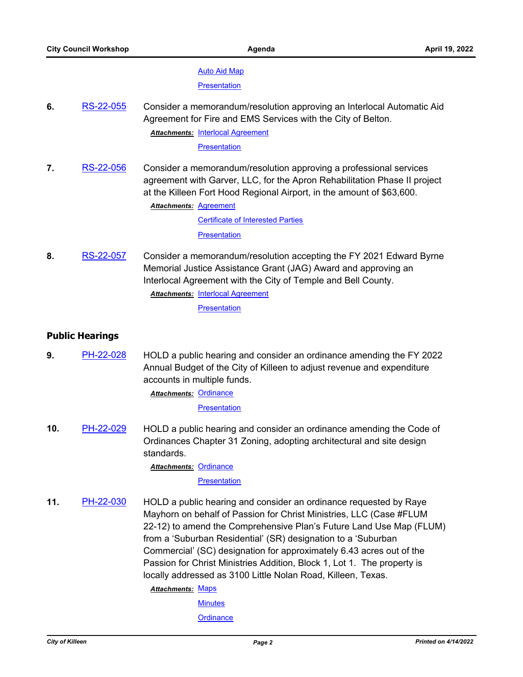#### [Auto Aid Map](http://killeen.legistar.com/gateway.aspx?M=F&ID=12ebbb62-bc25-47c4-aa9b-f830f4e67034.pdf)

**[Presentation](http://killeen.legistar.com/gateway.aspx?M=F&ID=f7991681-f3e0-49e4-950b-bcea2e1e716f.pdf)** 

**6.** [RS-22-055](http://killeen.legistar.com/gateway.aspx?m=l&id=/matter.aspx?key=6048) Consider a memorandum/resolution approving an Interlocal Automatic Aid Agreement for Fire and EMS Services with the City of Belton. **Attachments: [Interlocal Agreement](http://killeen.legistar.com/gateway.aspx?M=F&ID=b777ff24-2f6a-47e2-9da6-cdc2b62d0ea0.pdf)** 

**[Presentation](http://killeen.legistar.com/gateway.aspx?M=F&ID=327d3d0c-f2c4-4d2f-a340-b11f07549828.pdf)** 

**7.** [RS-22-056](http://killeen.legistar.com/gateway.aspx?m=l&id=/matter.aspx?key=6061) Consider a memorandum/resolution approving a professional services agreement with Garver, LLC, for the Apron Rehabilitation Phase II project at the Killeen Fort Hood Regional Airport, in the amount of \$63,600.

**Attachments: [Agreement](http://killeen.legistar.com/gateway.aspx?M=F&ID=6d8ba998-19b4-4938-a38e-4f5039a81d6b.pdf)** 

[Certificate of Interested Parties](http://killeen.legistar.com/gateway.aspx?M=F&ID=ce229efb-8a3b-496d-9bbb-8711e70f79d8.pdf) **[Presentation](http://killeen.legistar.com/gateway.aspx?M=F&ID=4d28cc94-28c7-4847-b72a-ecc3d71e6e5a.pdf)** 

**8.** [RS-22-057](http://killeen.legistar.com/gateway.aspx?m=l&id=/matter.aspx?key=6074) Consider a memorandum/resolution accepting the FY 2021 Edward Byrne Memorial Justice Assistance Grant (JAG) Award and approving an Interlocal Agreement with the City of Temple and Bell County. **Attachments: [Interlocal Agreement](http://killeen.legistar.com/gateway.aspx?M=F&ID=9405e8ac-de50-4a68-860e-7a9e9d09ff4a.pdf) [Presentation](http://killeen.legistar.com/gateway.aspx?M=F&ID=6e18de59-7735-4bd5-8dd3-ae8f61ffa861.pdf)** 

## **Public Hearings**

**9.** [PH-22-028](http://killeen.legistar.com/gateway.aspx?m=l&id=/matter.aspx?key=6083) HOLD a public hearing and consider an ordinance amending the FY 2022 Annual Budget of the City of Killeen to adjust revenue and expenditure accounts in multiple funds.

Attachments: [Ordinance](http://killeen.legistar.com/gateway.aspx?M=F&ID=1c4f329f-af98-4c0d-a7bb-cb4a2b1150d3.pdf)

**[Presentation](http://killeen.legistar.com/gateway.aspx?M=F&ID=fd1951b4-804e-4fca-ab13-f67f2f8c3a46.pdf)** 

**10.** [PH-22-029](http://killeen.legistar.com/gateway.aspx?m=l&id=/matter.aspx?key=6070) HOLD a public hearing and consider an ordinance amending the Code of Ordinances Chapter 31 Zoning, adopting architectural and site design standards.

**Attachments: [Ordinance](http://killeen.legistar.com/gateway.aspx?M=F&ID=3d68e1c8-f8dc-4da2-9915-b5865771442b.pdf)** 

**[Presentation](http://killeen.legistar.com/gateway.aspx?M=F&ID=d784cac6-6d9b-4768-9731-50607dd7b089.pdf)** 

**11.** [PH-22-030](http://killeen.legistar.com/gateway.aspx?m=l&id=/matter.aspx?key=6040) HOLD a public hearing and consider an ordinance requested by Raye Mayhorn on behalf of Passion for Christ Ministries, LLC (Case #FLUM 22-12) to amend the Comprehensive Plan's Future Land Use Map (FLUM) from a 'Suburban Residential' (SR) designation to a 'Suburban Commercial' (SC) designation for approximately 6.43 acres out of the Passion for Christ Ministries Addition, Block 1, Lot 1. The property is locally addressed as 3100 Little Nolan Road, Killeen, Texas.

**Attachments: [Maps](http://killeen.legistar.com/gateway.aspx?M=F&ID=ddd97415-738f-483c-8329-8f0333851604.pdf)** 

**[Minutes](http://killeen.legistar.com/gateway.aspx?M=F&ID=63470a5d-d2c3-46db-80a6-6b8a28bb226d.pdf)** 

**[Ordinance](http://killeen.legistar.com/gateway.aspx?M=F&ID=55b5aff2-8d28-4a8c-8191-738d673df5d9.pdf)**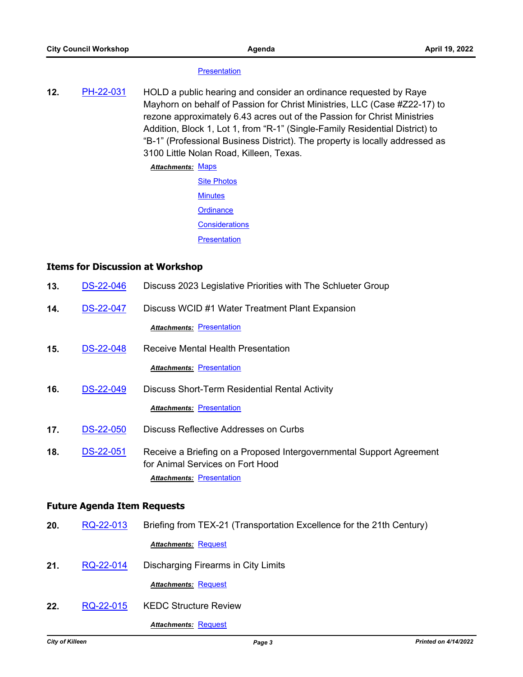#### **[Presentation](http://killeen.legistar.com/gateway.aspx?M=F&ID=528f0857-8a16-46b5-8c9d-08e5380a8e5e.pdf)**

**12.** [PH-22-031](http://killeen.legistar.com/gateway.aspx?m=l&id=/matter.aspx?key=6041) HOLD a public hearing and consider an ordinance requested by Raye Mayhorn on behalf of Passion for Christ Ministries, LLC (Case #Z22-17) to rezone approximately 6.43 acres out of the Passion for Christ Ministries Addition, Block 1, Lot 1, from "R-1" (Single-Family Residential District) to "B-1" (Professional Business District). The property is locally addressed as 3100 Little Nolan Road, Killeen, Texas.

#### Attachments: [Maps](http://killeen.legistar.com/gateway.aspx?M=F&ID=eaf49210-60f0-408c-81d0-0a10cebd51de.pdf)

| <b>Site Photos</b>    |
|-----------------------|
| <b>Minutes</b>        |
| Ordinance             |
| <b>Considerations</b> |
| <b>Presentation</b>   |

### **Items for Discussion at Workshop**

| 13.                                | <b>DS-22-046</b> | Discuss 2023 Legislative Priorities with The Schlueter Group                                             |  |  |
|------------------------------------|------------------|----------------------------------------------------------------------------------------------------------|--|--|
| 14.                                | <b>DS-22-047</b> | Discuss WCID #1 Water Treatment Plant Expansion                                                          |  |  |
|                                    |                  | <b>Attachments: Presentation</b>                                                                         |  |  |
| 15.                                | DS-22-048        | <b>Receive Mental Health Presentation</b>                                                                |  |  |
|                                    |                  | <b>Attachments: Presentation</b>                                                                         |  |  |
| 16.                                | <b>DS-22-049</b> | <b>Discuss Short-Term Residential Rental Activity</b>                                                    |  |  |
|                                    |                  | <b>Attachments: Presentation</b>                                                                         |  |  |
| 17.                                | <b>DS-22-050</b> | Discuss Reflective Addresses on Curbs                                                                    |  |  |
| 18.                                | DS-22-051        | Receive a Briefing on a Proposed Intergovernmental Support Agreement<br>for Animal Services on Fort Hood |  |  |
|                                    |                  | <b>Attachments: Presentation</b>                                                                         |  |  |
| <b>Future Agenda Item Requests</b> |                  |                                                                                                          |  |  |
| 20.                                | RQ-22-013        | Briefing from TEX-21 (Transportation Excellence for the 21th Century)                                    |  |  |
|                                    |                  | <b>Attachments: Request</b>                                                                              |  |  |
| 21.                                | RQ-22-014        | Discharging Firearms in City Limits                                                                      |  |  |
|                                    |                  | <b>Attachments: Request</b>                                                                              |  |  |
| 22.                                | RQ-22-015        | <b>KEDC Structure Review</b>                                                                             |  |  |

*Attachments:* [Request](http://killeen.legistar.com/gateway.aspx?M=F&ID=a7b5cdc4-b022-4bb3-b105-2d485ab6da6d.pdf)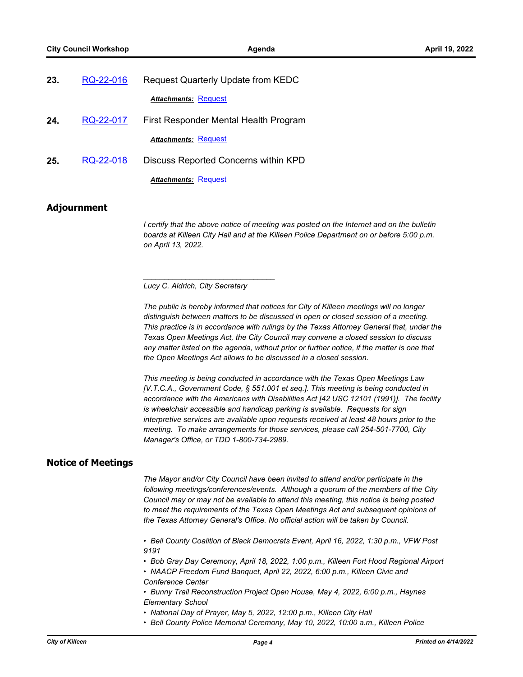| 23. | RQ-22-016 | <b>Request Quarterly Update from KEDC</b> |  |
|-----|-----------|-------------------------------------------|--|
|     |           | <b>Attachments: Request</b>               |  |
| 24. | RQ-22-017 | First Responder Mental Health Program     |  |
|     |           | <b>Attachments: Request</b>               |  |
| 25. | RQ-22-018 | Discuss Reported Concerns within KPD      |  |
|     |           | <b>Attachments: Request</b>               |  |

#### **Adjournment**

*I certify that the above notice of meeting was posted on the Internet and on the bulletin boards at Killeen City Hall and at the Killeen Police Department on or before 5:00 p.m. on April 13, 2022.*

*Lucy C. Aldrich, City Secretary* 

*\_\_\_\_\_\_\_\_\_\_\_\_\_\_\_\_\_\_\_\_\_\_\_\_\_\_\_\_\_\_\_*

*The public is hereby informed that notices for City of Killeen meetings will no longer distinguish between matters to be discussed in open or closed session of a meeting. This practice is in accordance with rulings by the Texas Attorney General that, under the Texas Open Meetings Act, the City Council may convene a closed session to discuss*  any matter listed on the agenda, without prior or further notice, if the matter is one that *the Open Meetings Act allows to be discussed in a closed session.*

*This meeting is being conducted in accordance with the Texas Open Meetings Law [V.T.C.A., Government Code, § 551.001 et seq.]. This meeting is being conducted in accordance with the Americans with Disabilities Act [42 USC 12101 (1991)]. The facility is wheelchair accessible and handicap parking is available. Requests for sign interpretive services are available upon requests received at least 48 hours prior to the meeting. To make arrangements for those services, please call 254-501-7700, City Manager's Office, or TDD 1-800-734-2989.*

#### **Notice of Meetings**

*The Mayor and/or City Council have been invited to attend and/or participate in the following meetings/conferences/events. Although a quorum of the members of the City Council may or may not be available to attend this meeting, this notice is being posted to meet the requirements of the Texas Open Meetings Act and subsequent opinions of the Texas Attorney General's Office. No official action will be taken by Council.*

*• Bell County Coalition of Black Democrats Event, April 16, 2022, 1:30 p.m., VFW Post 9191*

- *Bob Gray Day Ceremony, April 18, 2022, 1:00 p.m., Killeen Fort Hood Regional Airport*
- NAACP Freedom Fund Banquet, April 22, 2022, 6:00 p.m., Killeen Civic and *Conference Center*
- *Bunny Trail Reconstruction Project Open House, May 4, 2022, 6:00 p.m., Haynes Elementary School*
- National Day of Prayer, May 5, 2022, 12:00 p.m., Killeen City Hall
- *Bell County Police Memorial Ceremony, May 10, 2022, 10:00 a.m., Killeen Police*